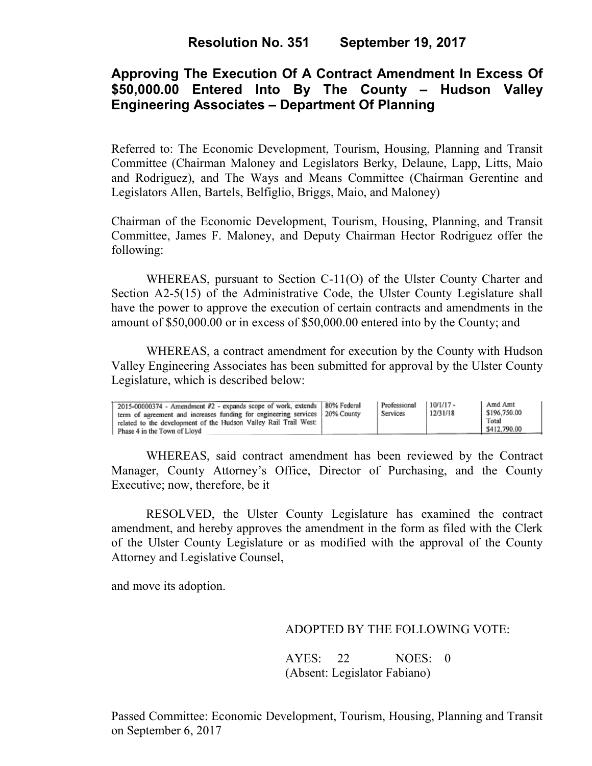# **Approving The Execution Of A Contract Amendment In Excess Of \$50,000.00 Entered Into By The County – Hudson Valley Engineering Associates – Department Of Planning**

Referred to: The Economic Development, Tourism, Housing, Planning and Transit Committee (Chairman Maloney and Legislators Berky, Delaune, Lapp, Litts, Maio and Rodriguez), and The Ways and Means Committee (Chairman Gerentine and Legislators Allen, Bartels, Belfiglio, Briggs, Maio, and Maloney)

Chairman of the Economic Development, Tourism, Housing, Planning, and Transit Committee, James F. Maloney, and Deputy Chairman Hector Rodriguez offer the following:

WHEREAS, pursuant to Section C-11(O) of the Ulster County Charter and Section A2-5(15) of the Administrative Code, the Ulster County Legislature shall have the power to approve the execution of certain contracts and amendments in the amount of \$50,000.00 or in excess of \$50,000.00 entered into by the County; and

 WHEREAS, a contract amendment for execution by the County with Hudson Valley Engineering Associates has been submitted for approval by the Ulster County Legislature, which is described below:

WHEREAS, said contract amendment has been reviewed by the Contract Manager, County Attorney's Office, Director of Purchasing, and the County Executive; now, therefore, be it

RESOLVED, the Ulster County Legislature has examined the contract amendment, and hereby approves the amendment in the form as filed with the Clerk of the Ulster County Legislature or as modified with the approval of the County Attorney and Legislative Counsel,

and move its adoption.

### ADOPTED BY THE FOLLOWING VOTE:

AYES: 22 NOES: 0 (Absent: Legislator Fabiano)

Passed Committee: Economic Development, Tourism, Housing, Planning and Transit on September 6, 2017